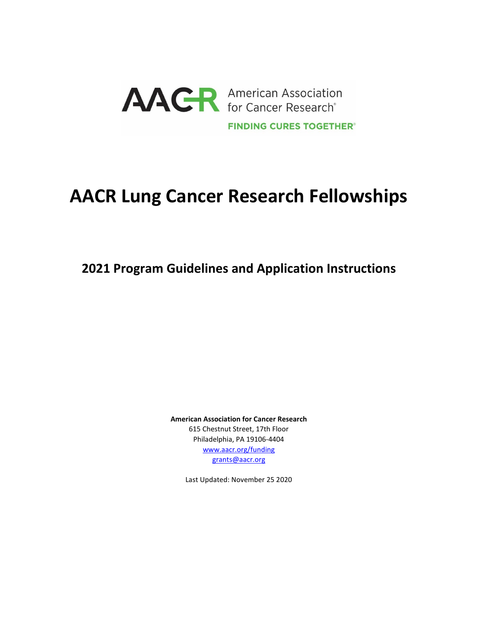

# **AACR Lung Cancer Research Fellowships**

**2021 Program Guidelines and Application Instructions**

**American Association for Cancer Research** 615 Chestnut Street, 17th Floor Philadelphia, PA 19106-4404 [www.aacr.org/funding](http://www.aacr.org/funding) [grants@aacr.org](mailto:grants@aacr.org)

Last Updated: November 25 2020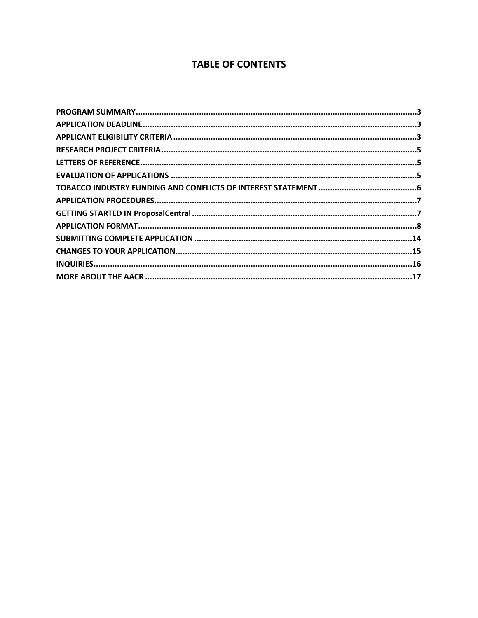# **TABLE OF CONTENTS**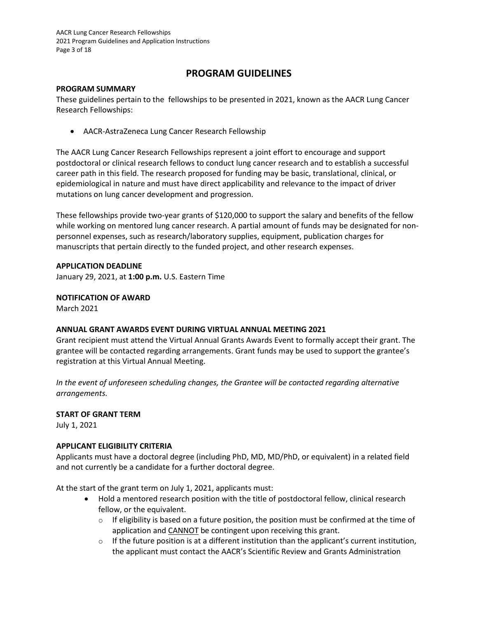## **PROGRAM GUIDELINES**

#### <span id="page-2-0"></span>**PROGRAM SUMMARY**

These guidelines pertain to the fellowships to be presented in 2021, known as the AACR Lung Cancer Research Fellowships:

• AACR-AstraZeneca Lung Cancer Research Fellowship

The AACR Lung Cancer Research Fellowships represent a joint effort to encourage and support postdoctoral or clinical research fellows to conduct lung cancer research and to establish a successful career path in this field. The research proposed for funding may be basic, translational, clinical, or epidemiological in nature and must have direct applicability and relevance to the impact of driver mutations on lung cancer development and progression.

These fellowships provide two-year grants of \$120,000 to support the salary and benefits of the fellow while working on mentored lung cancer research. A partial amount of funds may be designated for nonpersonnel expenses, such as research/laboratory supplies, equipment, publication charges for manuscripts that pertain directly to the funded project, and other research expenses.

## <span id="page-2-1"></span>**APPLICATION DEADLINE**

January 29, 2021, at **1:00 p.m.** U.S. Eastern Time

**NOTIFICATION OF AWARD**

March 2021

## **ANNUAL GRANT AWARDS EVENT DURING VIRTUAL ANNUAL MEETING 2021**

Grant recipient must attend the Virtual Annual Grants Awards Event to formally accept their grant. The grantee will be contacted regarding arrangements. Grant funds may be used to support the grantee's registration at this Virtual Annual Meeting.

*In the event of unforeseen scheduling changes, the Grantee will be contacted regarding alternative arrangements.*

## **START OF GRANT TERM**

July 1, 2021

## <span id="page-2-2"></span>**APPLICANT ELIGIBILITY CRITERIA**

Applicants must have a doctoral degree (including PhD, MD, MD/PhD, or equivalent) in a related field and not currently be a candidate for a further doctoral degree.

At the start of the grant term on July 1, 2021, applicants must:

- Hold a mentored research position with the title of postdoctoral fellow, clinical research fellow, or the equivalent.
	- $\circ$  If eligibility is based on a future position, the position must be confirmed at the time of application and CANNOT be contingent upon receiving this grant.
	- $\circ$  If the future position is at a different institution than the applicant's current institution, the applicant must contact the AACR's Scientific Review and Grants Administration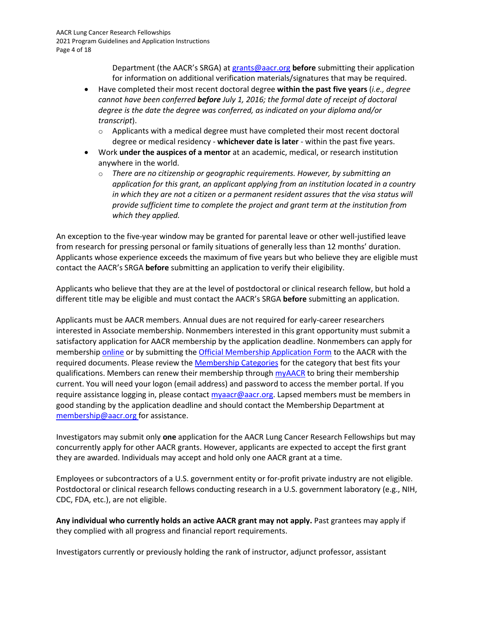Department (the AACR's SRGA) a[t grants@aacr.org](mailto:grants@aacr.org) **before** submitting their application for information on additional verification materials/signatures that may be required.

- Have completed their most recent doctoral degree **within the past five years** (*i.e., degree cannot have been conferred before July 1, 2016; the formal date of receipt of doctoral degree is the date the degree was conferred, as indicated on your diploma and/or transcript*).
	- $\circ$  Applicants with a medical degree must have completed their most recent doctoral degree or medical residency - **whichever date is later** - within the past five years.
- Work **under the auspices of a mentor** at an academic, medical, or research institution anywhere in the world.
	- o *There are no citizenship or geographic requirements. However, by submitting an application for this grant, an applicant applying from an institution located in a country in which they are not a citizen or a permanent resident assures that the visa status will provide sufficient time to complete the project and grant term at the institution from which they applied.*

An exception to the five-year window may be granted for parental leave or other well-justified leave from research for pressing personal or family situations of generally less than 12 months' duration. Applicants whose experience exceeds the maximum of five years but who believe they are eligible must contact the AACR's SRGA **before** submitting an application to verify their eligibility.

Applicants who believe that they are at the level of postdoctoral or clinical research fellow, but hold a different title may be eligible and must contact the AACR's SRGA **before** submitting an application.

Applicants must be AACR members. Annual dues are not required for early-career researchers interested in Associate membership. Nonmembers interested in this grant opportunity must submit a satisfactory application for AACR membership by the application deadline. Nonmembers can apply for membership [online](https://myaacr.aacr.org/) or by submitting th[e Official Membership Application Form](https://www.aacr.org/wp-content/uploads/2020/04/20_MemApp.pdf) to the AACR with the required documents. Please review th[e Membership Categories](https://www.aacr.org/Membership/Pages/categories___071535.aspx) for the category that best fits your qualifications. Members can renew their membership through [myAACR](https://myaacr.aacr.org/) to bring their membership current. You will need your logon (email address) and password to access the member portal. If you require assistance logging in, please contac[t myaacr@aacr.org.](mailto:myaacr@aacr.org) Lapsed members must be members in good standing by the application deadline and should contact the Membership Department at [membership@aacr.org](mailto:membership@aacr.org) for assistance.

Investigators may submit only **one** application for the AACR Lung Cancer Research Fellowships but may concurrently apply for other AACR grants. However, applicants are expected to accept the first grant they are awarded. Individuals may accept and hold only one AACR grant at a time.

Employees or subcontractors of a U.S. government entity or for-profit private industry are not eligible. Postdoctoral or clinical research fellows conducting research in a U.S. government laboratory (e.g., NIH, CDC, FDA, etc.), are not eligible.

**Any individual who currently holds an active AACR grant may not apply.** Past grantees may apply if they complied with all progress and financial report requirements.

Investigators currently or previously holding the rank of instructor, adjunct professor, assistant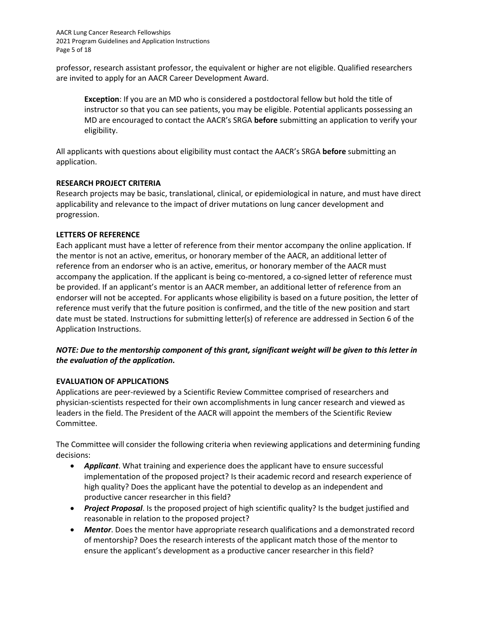AACR Lung Cancer Research Fellowships 2021 Program Guidelines and Application Instructions Page 5 of 18

professor, research assistant professor, the equivalent or higher are not eligible. Qualified researchers are invited to apply for an AACR Career Development Award.

**Exception**: If you are an MD who is considered a postdoctoral fellow but hold the title of instructor so that you can see patients, you may be eligible. Potential applicants possessing an MD are encouraged to contact the AACR's SRGA **before** submitting an application to verify your eligibility.

All applicants with questions about eligibility must contact the AACR's SRGA **before** submitting an application.

#### <span id="page-4-0"></span>**RESEARCH PROJECT CRITERIA**

Research projects may be basic, translational, clinical, or epidemiological in nature, and must have direct applicability and relevance to the impact of driver mutations on lung cancer development and progression.

#### <span id="page-4-1"></span>**LETTERS OF REFERENCE**

Each applicant must have a letter of reference from their mentor accompany the online application. If the mentor is not an active, emeritus, or honorary member of the AACR, an additional letter of reference from an endorser who is an active, emeritus, or honorary member of the AACR must accompany the application. If the applicant is being co-mentored, a co-signed letter of reference must be provided. If an applicant's mentor is an AACR member, an additional letter of reference from an endorser will not be accepted. For applicants whose eligibility is based on a future position, the letter of reference must verify that the future position is confirmed, and the title of the new position and start date must be stated. Instructions for submitting letter(s) of reference are addressed in Section 6 of the Application Instructions.

## *NOTE: Due to the mentorship component of this grant, significant weight will be given to this letter in the evaluation of the application.*

## <span id="page-4-2"></span>**EVALUATION OF APPLICATIONS**

Applications are peer-reviewed by a Scientific Review Committee comprised of researchers and physician-scientists respected for their own accomplishments in lung cancer research and viewed as leaders in the field. The President of the AACR will appoint the members of the Scientific Review Committee.

The Committee will consider the following criteria when reviewing applications and determining funding decisions:

- *Applicant*. What training and experience does the applicant have to ensure successful implementation of the proposed project? Is their academic record and research experience of high quality? Does the applicant have the potential to develop as an independent and productive cancer researcher in this field?
- *Project Proposal*. Is the proposed project of high scientific quality? Is the budget justified and reasonable in relation to the proposed project?
- *Mentor*. Does the mentor have appropriate research qualifications and a demonstrated record of mentorship? Does the research interests of the applicant match those of the mentor to ensure the applicant's development as a productive cancer researcher in this field?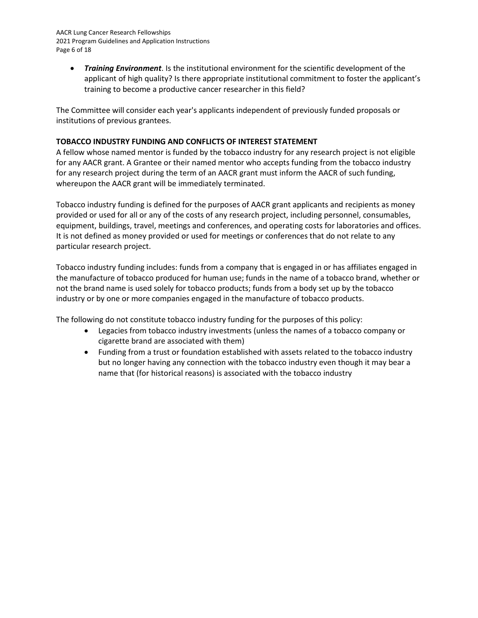AACR Lung Cancer Research Fellowships 2021 Program Guidelines and Application Instructions Page 6 of 18

• *Training Environment*. Is the institutional environment for the scientific development of the applicant of high quality? Is there appropriate institutional commitment to foster the applicant's training to become a productive cancer researcher in this field?

The Committee will consider each year's applicants independent of previously funded proposals or institutions of previous grantees.

## <span id="page-5-0"></span>**TOBACCO INDUSTRY FUNDING AND CONFLICTS OF INTEREST STATEMENT**

A fellow whose named mentor is funded by the tobacco industry for any research project is not eligible for any AACR grant. A Grantee or their named mentor who accepts funding from the tobacco industry for any research project during the term of an AACR grant must inform the AACR of such funding, whereupon the AACR grant will be immediately terminated.

Tobacco industry funding is defined for the purposes of AACR grant applicants and recipients as money provided or used for all or any of the costs of any research project, including personnel, consumables, equipment, buildings, travel, meetings and conferences, and operating costs for laboratories and offices. It is not defined as money provided or used for meetings or conferences that do not relate to any particular research project.

Tobacco industry funding includes: funds from a company that is engaged in or has affiliates engaged in the manufacture of tobacco produced for human use; funds in the name of a tobacco brand, whether or not the brand name is used solely for tobacco products; funds from a body set up by the tobacco industry or by one or more companies engaged in the manufacture of tobacco products.

The following do not constitute tobacco industry funding for the purposes of this policy:

- Legacies from tobacco industry investments (unless the names of a tobacco company or cigarette brand are associated with them)
- Funding from a trust or foundation established with assets related to the tobacco industry but no longer having any connection with the tobacco industry even though it may bear a name that (for historical reasons) is associated with the tobacco industry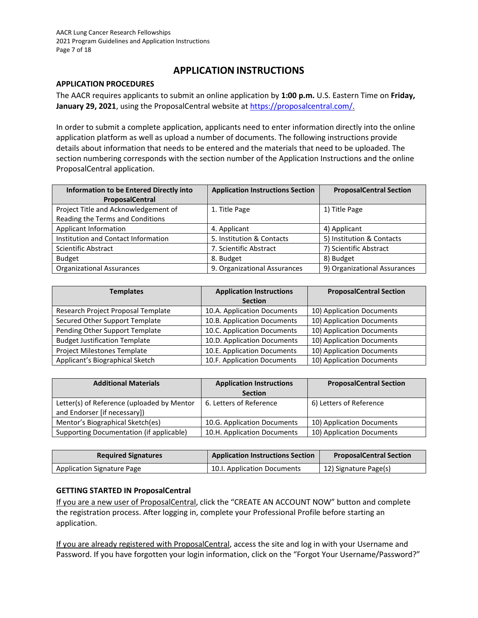## **APPLICATION INSTRUCTIONS**

### <span id="page-6-0"></span>**APPLICATION PROCEDURES**

The AACR requires applicants to submit an online application by **1:00 p.m.** U.S. Eastern Time on **Friday,**  January 29, 2021, using the ProposalCentral website at<https://proposalcentral.com/>.

In order to submit a complete application, applicants need to enter information directly into the online application platform as well as upload a number of documents. The following instructions provide details about information that needs to be entered and the materials that need to be uploaded. The section numbering corresponds with the section number of the Application Instructions and the online ProposalCentral application.

| <b>Information to be Entered Directly into</b> | <b>Application Instructions Section</b> | <b>ProposalCentral Section</b> |
|------------------------------------------------|-----------------------------------------|--------------------------------|
| ProposalCentral                                |                                         |                                |
| Project Title and Acknowledgement of           | 1. Title Page                           | 1) Title Page                  |
| Reading the Terms and Conditions               |                                         |                                |
| <b>Applicant Information</b>                   | 4. Applicant                            | 4) Applicant                   |
| Institution and Contact Information            | 5. Institution & Contacts               | 5) Institution & Contacts      |
| <b>Scientific Abstract</b>                     | 7. Scientific Abstract                  | 7) Scientific Abstract         |
| <b>Budget</b>                                  | 8. Budget                               | 8) Budget                      |
| <b>Organizational Assurances</b>               | 9. Organizational Assurances            | 9) Organizational Assurances   |

| <b>Templates</b>                     | <b>Application Instructions</b> | <b>ProposalCentral Section</b> |
|--------------------------------------|---------------------------------|--------------------------------|
|                                      | <b>Section</b>                  |                                |
| Research Project Proposal Template   | 10.A. Application Documents     | 10) Application Documents      |
| Secured Other Support Template       | 10.B. Application Documents     | 10) Application Documents      |
| Pending Other Support Template       | 10.C. Application Documents     | 10) Application Documents      |
| <b>Budget Justification Template</b> | 10.D. Application Documents     | 10) Application Documents      |
| Project Milestones Template          | 10.E. Application Documents     | 10) Application Documents      |
| Applicant's Biographical Sketch      | 10.F. Application Documents     | 10) Application Documents      |

| <b>Additional Materials</b>                                                | <b>Application Instructions</b> | <b>ProposalCentral Section</b> |
|----------------------------------------------------------------------------|---------------------------------|--------------------------------|
|                                                                            | <b>Section</b>                  |                                |
| Letter(s) of Reference (uploaded by Mentor<br>and Endorser [if necessary]) | 6. Letters of Reference         | 6) Letters of Reference        |
| Mentor's Biographical Sketch(es)                                           | 10.G. Application Documents     | 10) Application Documents      |
| Supporting Documentation (if applicable)                                   | 10.H. Application Documents     | 10) Application Documents      |

| <b>Required Signatures</b>        | <b>Application Instructions Section</b> | <b>ProposalCentral Section</b> |
|-----------------------------------|-----------------------------------------|--------------------------------|
| <b>Application Signature Page</b> | 10.1. Application Documents             | 12) Signature Page(s)          |

## <span id="page-6-1"></span>**GETTING STARTED IN ProposalCentral**

If you are a new user of ProposalCentral, click the "CREATE AN ACCOUNT NOW" button and complete the registration process. After logging in, complete your Professional Profile before starting an application.

If you are already registered with ProposalCentral, access the site and log in with your Username and Password. If you have forgotten your login information, click on the "Forgot Your Username/Password?"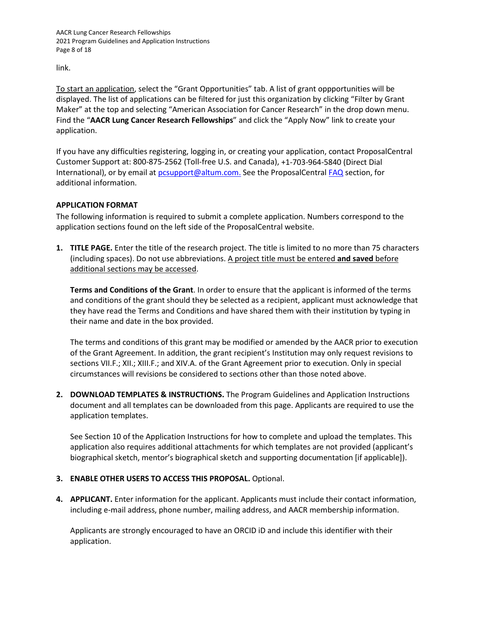AACR Lung Cancer Research Fellowships 2021 Program Guidelines and Application Instructions Page 8 of 18

link.

To start an application, select the "Grant Opportunities" tab. A list of grant oppportunities will be displayed. The list of applications can be filtered for just this organization by clicking "Filter by Grant Maker" at the top and selecting "American Association for Cancer Research" in the drop down menu. Find the "**AACR Lung Cancer Research Fellowships**" and click the "Apply Now" link to create your application.

If you have any difficulties registering, logging in, or creating your application, contact ProposalCentral Customer Support at: 800-875-2562 (Toll-free U.S. and Canada), +1-703-964-5840 (Direct Dial International), or by email at **pcsupport@altum.com.** See the ProposalCentral **[FAQ](https://proposalcentral.com/FAQ/FrequentlyAskedQuestions.asp)** section, for additional information.

## <span id="page-7-0"></span>**APPLICATION FORMAT**

The following information is required to submit a complete application. Numbers correspond to the application sections found on the left side of the ProposalCentral website.

**1. TITLE PAGE.** Enter the title of the research project. The title is limited to no more than 75 characters (including spaces). Do not use abbreviations. A project title must be entered **and saved** before additional sections may be accessed.

**Terms and Conditions of the Grant**. In order to ensure that the applicant is informed of the terms and conditions of the grant should they be selected as a recipient, applicant must acknowledge that they have read the Terms and Conditions and have shared them with their institution by typing in their name and date in the box provided.

The terms and conditions of this grant may be modified or amended by the AACR prior to execution of the Grant Agreement. In addition, the grant recipient's Institution may only request revisions to sections VII.F.; XII.; XIII.F.; and XIV.A. of the Grant Agreement prior to execution. Only in special circumstances will revisions be considered to sections other than those noted above.

**2. DOWNLOAD TEMPLATES & INSTRUCTIONS.** The Program Guidelines and Application Instructions document and all templates can be downloaded from this page. Applicants are required to use the application templates.

See Section 10 of the Application Instructions for how to complete and upload the templates. This application also requires additional attachments for which templates are not provided (applicant's biographical sketch, mentor's biographical sketch and supporting documentation [if applicable]).

## **3. ENABLE OTHER USERS TO ACCESS THIS PROPOSAL.** Optional.

**4. APPLICANT.** Enter information for the applicant. Applicants must include their contact information, including e-mail address, phone number, mailing address, and AACR membership information.

Applicants are strongly encouraged to have an ORCID iD and include this identifier with their application.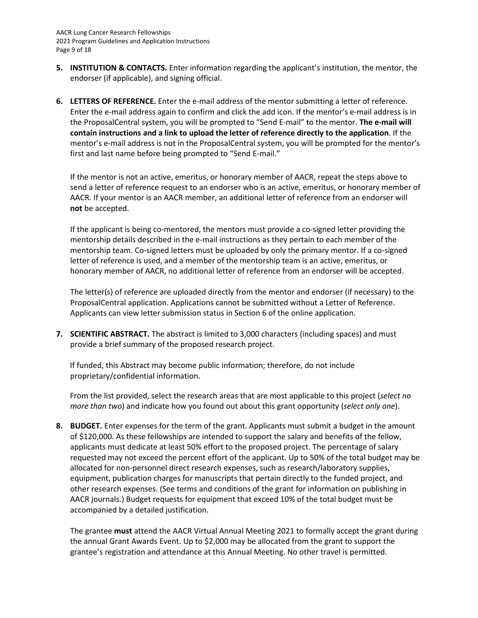- **5. INSTITUTION & CONTACTS.** Enter information regarding the applicant's institution, the mentor, the endorser (if applicable), and signing official.
- **6. LETTERS OF REFERENCE.** Enter the e-mail address of the mentor submitting a letter of reference. Enter the e-mail address again to confirm and click the add icon. If the mentor's e-mail address is in the ProposalCentral system, you will be prompted to "Send E-mail" to the mentor. **The e-mail will contain instructions and a link to upload the letter of reference directly to the application**. If the mentor's e-mail address is not in the ProposalCentral system, you will be prompted for the mentor's first and last name before being prompted to "Send E-mail."

If the mentor is not an active, emeritus, or honorary member of AACR, repeat the steps above to send a letter of reference request to an endorser who is an active, emeritus, or honorary member of AACR. If your mentor is an AACR member, an additional letter of reference from an endorser will **not** be accepted.

If the applicant is being co-mentored, the mentors must provide a co-signed letter providing the mentorship details described in the e-mail instructions as they pertain to each member of the mentorship team. Co-signed letters must be uploaded by only the primary mentor. If a co-signed letter of reference is used, and a member of the mentorship team is an active, emeritus, or honorary member of AACR, no additional letter of reference from an endorser will be accepted.

The letter(s) of reference are uploaded directly from the mentor and endorser (if necessary) to the ProposalCentral application. Applications cannot be submitted without a Letter of Reference. Applicants can view letter submission status in Section 6 of the online application.

**7. SCIENTIFIC ABSTRACT.** The abstract is limited to 3,000 characters (including spaces) and must provide a brief summary of the proposed research project.

If funded, this Abstract may become public information; therefore, do not include proprietary/confidential information.

From the list provided, select the research areas that are most applicable to this project (*select no more than two*) and indicate how you found out about this grant opportunity (*select only one*).

**8. BUDGET.** Enter expenses for the term of the grant. Applicants must submit a budget in the amount of \$120,000. As these fellowships are intended to support the salary and benefits of the fellow, applicants must dedicate at least 50% effort to the proposed project. The percentage of salary requested may not exceed the percent effort of the applicant. Up to 50% of the total budget may be allocated for non-personnel direct research expenses, such as research/laboratory supplies, equipment, publication charges for manuscripts that pertain directly to the funded project, and other research expenses. (See terms and conditions of the grant for information on publishing in AACR journals.) Budget requests for equipment that exceed 10% of the total budget must be accompanied by a detailed justification.

The grantee **must** attend the AACR Virtual Annual Meeting 2021 to formally accept the grant during the annual Grant Awards Event. Up to \$2,000 may be allocated from the grant to support the grantee's registration and attendance at this Annual Meeting. No other travel is permitted.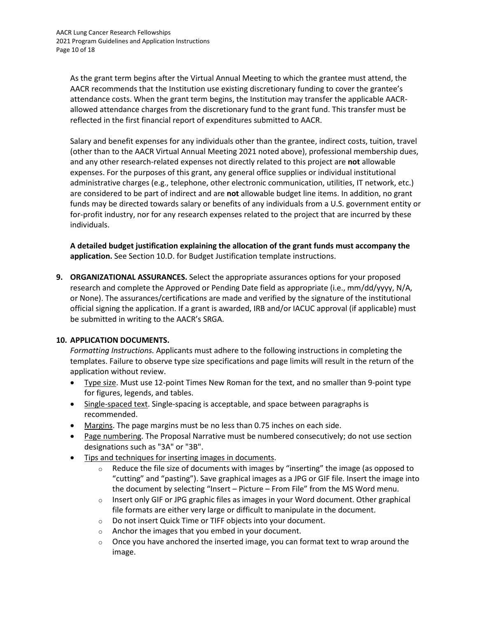As the grant term begins after the Virtual Annual Meeting to which the grantee must attend, the AACR recommends that the Institution use existing discretionary funding to cover the grantee's attendance costs. When the grant term begins, the Institution may transfer the applicable AACRallowed attendance charges from the discretionary fund to the grant fund. This transfer must be reflected in the first financial report of expenditures submitted to AACR.

Salary and benefit expenses for any individuals other than the grantee, indirect costs, tuition, travel (other than to the AACR Virtual Annual Meeting 2021 noted above), professional membership dues, and any other research-related expenses not directly related to this project are **not** allowable expenses. For the purposes of this grant, any general office supplies or individual institutional administrative charges (e.g., telephone, other electronic communication, utilities, IT network, etc.) are considered to be part of indirect and are **not** allowable budget line items. In addition, no grant funds may be directed towards salary or benefits of any individuals from a U.S. government entity or for-profit industry, nor for any research expenses related to the project that are incurred by these individuals.

**A detailed budget justification explaining the allocation of the grant funds must accompany the application.** See Section 10.D. for Budget Justification template instructions.

**9. ORGANIZATIONAL ASSURANCES.** Select the appropriate assurances options for your proposed research and complete the Approved or Pending Date field as appropriate (i.e., mm/dd/yyyy, N/A, or None). The assurances/certifications are made and verified by the signature of the institutional official signing the application. If a grant is awarded, IRB and/or IACUC approval (if applicable) must be submitted in writing to the AACR's SRGA.

## **10. APPLICATION DOCUMENTS.**

*Formatting Instructions.* Applicants must adhere to the following instructions in completing the templates. Failure to observe type size specifications and page limits will result in the return of the application without review.

- Type size. Must use 12-point Times New Roman for the text, and no smaller than 9-point type for figures, legends, and tables.
- Single-spaced text. Single-spacing is acceptable, and space between paragraphs is recommended.
- Margins. The page margins must be no less than 0.75 inches on each side.
- Page numbering. The Proposal Narrative must be numbered consecutively; do not use section designations such as "3A" or "3B".
- Tips and techniques for inserting images in documents.
	- $\circ$  Reduce the file size of documents with images by "inserting" the image (as opposed to "cutting" and "pasting"). Save graphical images as a JPG or GIF file. Insert the image into the document by selecting "Insert – Picture – From File" from the MS Word menu.
	- $\circ$  Insert only GIF or JPG graphic files as images in your Word document. Other graphical file formats are either very large or difficult to manipulate in the document.
	- o Do not insert Quick Time or TIFF objects into your document.
	- o Anchor the images that you embed in your document.
	- $\circ$  Once you have anchored the inserted image, you can format text to wrap around the image.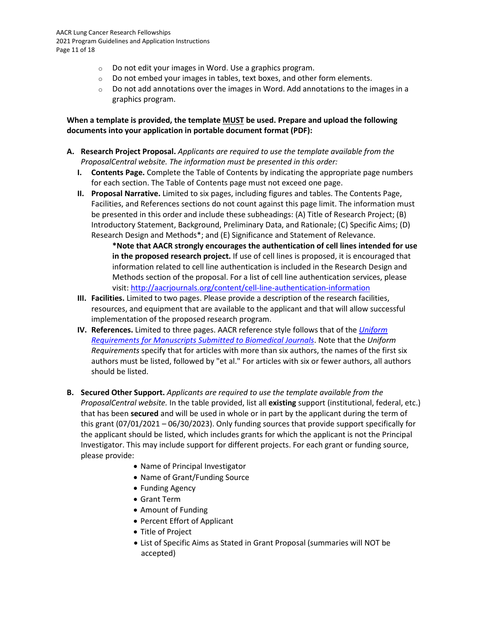- o Do not edit your images in Word. Use a graphics program.
- $\circ$  Do not embed your images in tables, text boxes, and other form elements.
- $\circ$  Do not add annotations over the images in Word. Add annotations to the images in a graphics program.

**When a template is provided, the template MUST be used. Prepare and upload the following documents into your application in portable document format (PDF):**

- **A. Research Project Proposal.** *Applicants are required to use the template available from the ProposalCentral website. The information must be presented in this order:*
	- **I. Contents Page.** Complete the Table of Contents by indicating the appropriate page numbers for each section. The Table of Contents page must not exceed one page.
	- **II. Proposal Narrative.** Limited to six pages, including figures and tables. The Contents Page, Facilities, and References sections do not count against this page limit. The information must be presented in this order and include these subheadings: (A) Title of Research Project; (B) Introductory Statement, Background, Preliminary Data, and Rationale; (C) Specific Aims; (D) Research Design and Methods\*; and (E) Significance and Statement of Relevance.

**\*Note that AACR strongly encourages the authentication of cell lines intended for use in the proposed research project.** If use of cell lines is proposed, it is encouraged that information related to cell line authentication is included in the Research Design and Methods section of the proposal. For a list of cell line authentication services, please visit[: http://aacrjournals.org/content/cell-line-authentication-information](http://aacrjournals.org/content/cell-line-authentication-information)

- **III. Facilities.** Limited to two pages. Please provide a description of the research facilities, resources, and equipment that are available to the applicant and that will allow successful implementation of the proposed research program.
- **IV. References.** Limited to three pages. AACR reference style follows that of the *[Uniform](http://www.nlm.nih.gov/bsd/uniform_requirements.html)  [Requirements for Manuscripts Submitted to Biomedical Journals](http://www.nlm.nih.gov/bsd/uniform_requirements.html)*. Note that the *Uniform Requirements* specify that for articles with more than six authors, the names of the first six authors must be listed, followed by "et al." For articles with six or fewer authors, all authors should be listed.
- **B. Secured Other Support.** *Applicants are required to use the template available from the ProposalCentral website.* In the table provided, list all **existing** support (institutional, federal, etc.) that has been **secured** and will be used in whole or in part by the applicant during the term of this grant (07/01/2021 – 06/30/2023). Only funding sources that provide support specifically for the applicant should be listed, which includes grants for which the applicant is not the Principal Investigator. This may include support for different projects. For each grant or funding source, please provide:
	- Name of Principal Investigator
	- Name of Grant/Funding Source
	- Funding Agency
	- Grant Term
	- Amount of Funding
	- Percent Effort of Applicant
	- Title of Project
	- List of Specific Aims as Stated in Grant Proposal (summaries will NOT be accepted)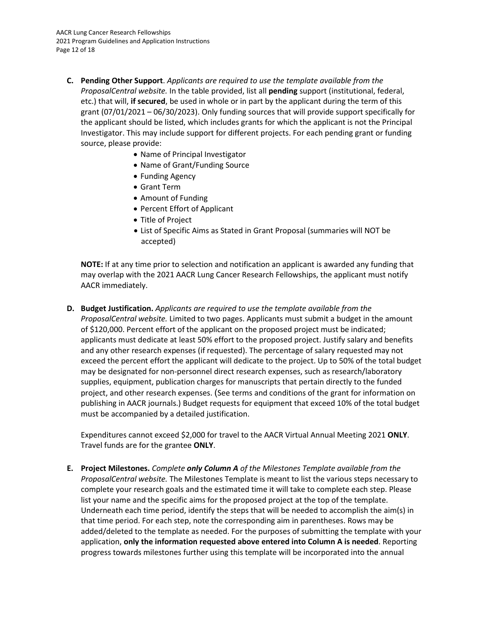- **C. Pending Other Support**. *Applicants are required to use the template available from the ProposalCentral website.* In the table provided, list all **pending** support (institutional, federal, etc.) that will, **if secured**, be used in whole or in part by the applicant during the term of this grant (07/01/2021 – 06/30/2023). Only funding sources that will provide support specifically for the applicant should be listed, which includes grants for which the applicant is not the Principal Investigator. This may include support for different projects. For each pending grant or funding source, please provide:
	- Name of Principal Investigator
	- Name of Grant/Funding Source
	- Funding Agency
	- Grant Term
	- Amount of Funding
	- Percent Effort of Applicant
	- Title of Project
	- List of Specific Aims as Stated in Grant Proposal (summaries will NOT be accepted)

**NOTE:** If at any time prior to selection and notification an applicant is awarded any funding that may overlap with the 2021 AACR Lung Cancer Research Fellowships, the applicant must notify AACR immediately.

**D. Budget Justification.** *Applicants are required to use the template available from the ProposalCentral website.* Limited to two pages. Applicants must submit a budget in the amount of \$120,000. Percent effort of the applicant on the proposed project must be indicated; applicants must dedicate at least 50% effort to the proposed project. Justify salary and benefits and any other research expenses (if requested). The percentage of salary requested may not exceed the percent effort the applicant will dedicate to the project. Up to 50% of the total budget may be designated for non-personnel direct research expenses, such as research/laboratory supplies, equipment, publication charges for manuscripts that pertain directly to the funded project, and other research expenses. (See terms and conditions of the grant for information on publishing in AACR journals.) Budget requests for equipment that exceed 10% of the total budget must be accompanied by a detailed justification.

Expenditures cannot exceed \$2,000 for travel to the AACR Virtual Annual Meeting 2021 **ONLY**. Travel funds are for the grantee **ONLY**.

**E. Project Milestones.** *Complete only Column A of the Milestones Template available from the ProposalCentral website.* The Milestones Template is meant to list the various steps necessary to complete your research goals and the estimated time it will take to complete each step. Please list your name and the specific aims for the proposed project at the top of the template. Underneath each time period, identify the steps that will be needed to accomplish the aim(s) in that time period. For each step, note the corresponding aim in parentheses. Rows may be added/deleted to the template as needed. For the purposes of submitting the template with your application, **only the information requested above entered into Column A is needed**. Reporting progress towards milestones further using this template will be incorporated into the annual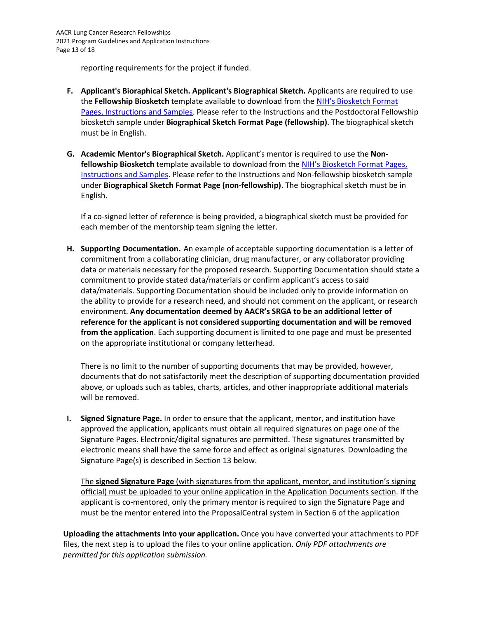reporting requirements for the project if funded.

- **F. Applicant's Bioraphical Sketch. Applicant's Biographical Sketch.** Applicants are required to use the **Fellowship Biosketch** template available to download from th[e NIH's Biosketch Format](https://grants.nih.gov/grants/forms/biosketch.htm)  [Pages, Instructions and Samples.](https://grants.nih.gov/grants/forms/biosketch.htm) Please refer to the Instructions and the Postdoctoral Fellowship biosketch sample under **Biographical Sketch Format Page (fellowship)**. The biographical sketch must be in English.
- **G. Academic Mentor's Biographical Sketch.** Applicant's mentor is required to use the **Nonfellowship Biosketch** template available to download from th[e NIH's Biosketch Format Pages,](https://grants.nih.gov/grants/forms/biosketch.htm)  [Instructions and Samples.](https://grants.nih.gov/grants/forms/biosketch.htm) Please refer to the Instructions and Non-fellowship biosketch sample under **Biographical Sketch Format Page (non-fellowship)**. The biographical sketch must be in English.

If a co-signed letter of reference is being provided, a biographical sketch must be provided for each member of the mentorship team signing the letter.

**H. Supporting Documentation.** An example of acceptable supporting documentation is a letter of commitment from a collaborating clinician, drug manufacturer, or any collaborator providing data or materials necessary for the proposed research. Supporting Documentation should state a commitment to provide stated data/materials or confirm applicant's access to said data/materials. Supporting Documentation should be included only to provide information on the ability to provide for a research need, and should not comment on the applicant, or research environment. **Any documentation deemed by AACR's SRGA to be an additional letter of reference for the applicant is not considered supporting documentation and will be removed from the application**. Each supporting document is limited to one page and must be presented on the appropriate institutional or company letterhead.

There is no limit to the number of supporting documents that may be provided, however, documents that do not satisfactorily meet the description of supporting documentation provided above, or uploads such as tables, charts, articles, and other inappropriate additional materials will be removed.

**I. Signed Signature Page.** In order to ensure that the applicant, mentor, and institution have approved the application, applicants must obtain all required signatures on page one of the Signature Pages. Electronic/digital signatures are permitted. These signatures transmitted by electronic means shall have the same force and effect as original signatures. Downloading the Signature Page(s) is described in Section 13 below.

The **signed Signature Page** (with signatures from the applicant, mentor, and institution's signing official) must be uploaded to your online application in the Application Documents section. If the applicant is co-mentored, only the primary mentor is required to sign the Signature Page and must be the mentor entered into the ProposalCentral system in Section 6 of the application

**Uploading the attachments into your application.** Once you have converted your attachments to PDF files, the next step is to upload the files to your online application. *Only PDF attachments are permitted for this application submission.*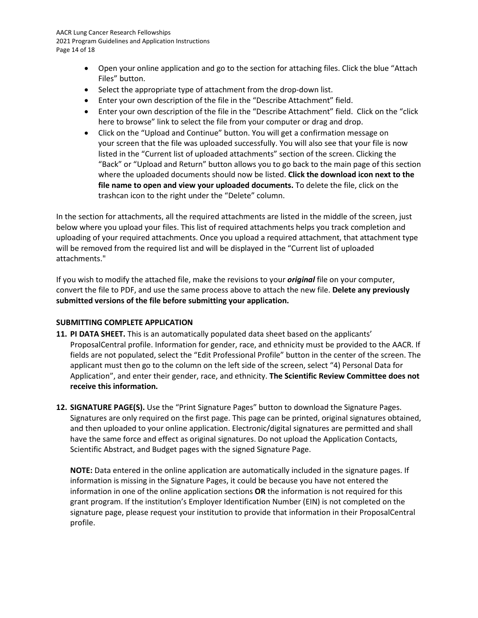- Open your online application and go to the section for attaching files. Click the blue "Attach Files" button.
- Select the appropriate type of attachment from the drop-down list.
- Enter your own description of the file in the "Describe Attachment" field.
- Enter your own description of the file in the "Describe Attachment" field. Click on the "click here to browse" link to select the file from your computer or drag and drop.
- Click on the "Upload and Continue" button. You will get a confirmation message on your screen that the file was uploaded successfully. You will also see that your file is now listed in the "Current list of uploaded attachments" section of the screen. Clicking the "Back" or "Upload and Return" button allows you to go back to the main page of this section where the uploaded documents should now be listed. **Click the download icon next to the file name to open and view your uploaded documents.** To delete the file, click on the trashcan icon to the right under the "Delete" column.

In the section for attachments, all the required attachments are listed in the middle of the screen, just below where you upload your files. This list of required attachments helps you track completion and uploading of your required attachments. Once you upload a required attachment, that attachment type will be removed from the required list and will be displayed in the "Current list of uploaded attachments."

If you wish to modify the attached file, make the revisions to your *original* file on your computer, convert the file to PDF, and use the same process above to attach the new file. **Delete any previously submitted versions of the file before submitting your application.**

## <span id="page-13-0"></span>**SUBMITTING COMPLETE APPLICATION**

- **11. PI DATA SHEET.** This is an automatically populated data sheet based on the applicants' ProposalCentral profile. Information for gender, race, and ethnicity must be provided to the AACR. If fields are not populated, select the "Edit Professional Profile" button in the center of the screen. The applicant must then go to the column on the left side of the screen, select "4) Personal Data for Application", and enter their gender, race, and ethnicity. **The Scientific Review Committee does not receive this information.**
- **12. SIGNATURE PAGE(S).** Use the "Print Signature Pages" button to download the Signature Pages. Signatures are only required on the first page. This page can be printed, original signatures obtained, and then uploaded to your online application. Electronic/digital signatures are permitted and shall have the same force and effect as original signatures. Do not upload the Application Contacts, Scientific Abstract, and Budget pages with the signed Signature Page.

**NOTE:** Data entered in the online application are automatically included in the signature pages. If information is missing in the Signature Pages, it could be because you have not entered the information in one of the online application sections **OR** the information is not required for this grant program. If the institution's Employer Identification Number (EIN) is not completed on the signature page, please request your institution to provide that information in their ProposalCentral profile.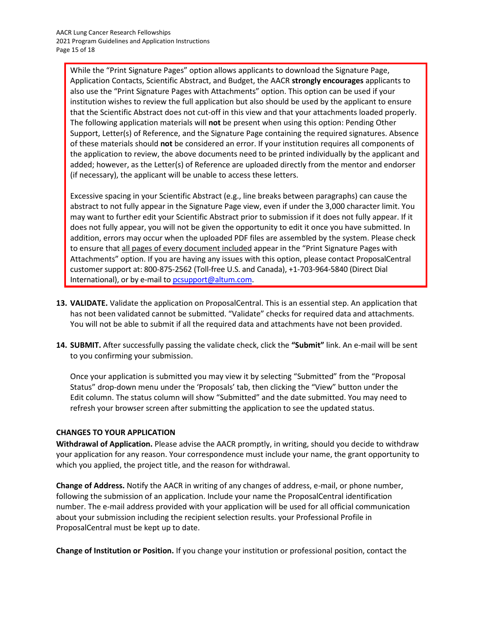While the "Print Signature Pages" option allows applicants to download the Signature Page, Application Contacts, Scientific Abstract, and Budget, the AACR **strongly encourages** applicants to also use the "Print Signature Pages with Attachments" option. This option can be used if your institution wishes to review the full application but also should be used by the applicant to ensure that the Scientific Abstract does not cut-off in this view and that your attachments loaded properly. The following application materials will **not** be present when using this option: Pending Other Support, Letter(s) of Reference, and the Signature Page containing the required signatures. Absence of these materials should **not** be considered an error. If your institution requires all components of the application to review, the above documents need to be printed individually by the applicant and added; however, as the Letter(s) of Reference are uploaded directly from the mentor and endorser (if necessary), the applicant will be unable to access these letters.

Excessive spacing in your Scientific Abstract (e.g., line breaks between paragraphs) can cause the abstract to not fully appear in the Signature Page view, even if under the 3,000 character limit. You may want to further edit your Scientific Abstract prior to submission if it does not fully appear. If it does not fully appear, you will not be given the opportunity to edit it once you have submitted. In addition, errors may occur when the uploaded PDF files are assembled by the system. Please check to ensure that all pages of every document included appear in the "Print Signature Pages with Attachments" option. If you are having any issues with this option, please contact ProposalCentral customer support at: 800-875-2562 (Toll-free U.S. and Canada), +1-703-964-5840 (Direct Dial International), or by e-mail t[o pcsupport@altum.com.](mailto:pcsupport@altum.com)

- **13. VALIDATE.** Validate the application on ProposalCentral. This is an essential step. An application that has not been validated cannot be submitted. "Validate" checks for required data and attachments. You will not be able to submit if all the required data and attachments have not been provided.
- **14. SUBMIT.** After successfully passing the validate check, click the **"Submit"** link. An e-mail will be sent to you confirming your submission.

Once your application is submitted you may view it by selecting "Submitted" from the "Proposal Status" drop-down menu under the 'Proposals' tab, then clicking the "View" button under the Edit column. The status column will show "Submitted" and the date submitted. You may need to refresh your browser screen after submitting the application to see the updated status.

## <span id="page-14-0"></span>**CHANGES TO YOUR APPLICATION**

**Withdrawal of Application.** Please advise the AACR promptly, in writing, should you decide to withdraw your application for any reason. Your correspondence must include your name, the grant opportunity to which you applied, the project title, and the reason for withdrawal.

**Change of Address.** Notify the AACR in writing of any changes of address, e-mail, or phone number, following the submission of an application. Include your name the ProposalCentral identification number. The e-mail address provided with your application will be used for all official communication about your submission including the recipient selection results. your Professional Profile in ProposalCentral must be kept up to date.

**Change of Institution or Position.** If you change your institution or professional position, contact the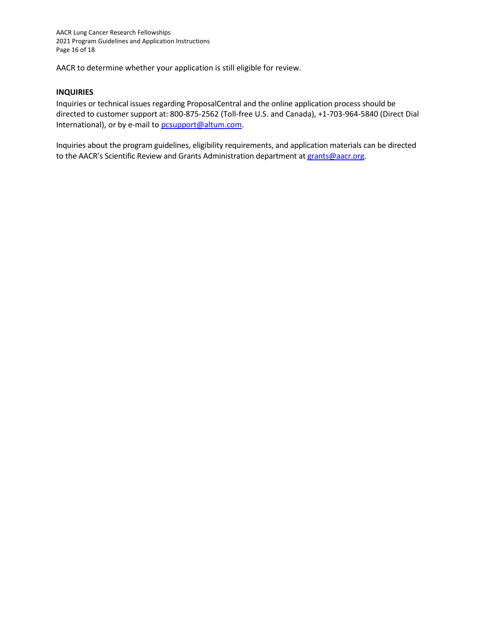AACR to determine whether your application is still eligible for review.

### <span id="page-15-0"></span>**INQUIRIES**

Inquiries or technical issues regarding ProposalCentral and the online application process should be directed to customer support at: 800-875-2562 (Toll-free U.S. and Canada), +1-703-964-5840 (Direct Dial International), or by e-mail to [pcsupport@altum.com.](mailto:pcsupport@altum.com)

Inquiries about the program guidelines, eligibility requirements, and application materials can be directed to the AACR's Scientific Review and Grants Administration department at [grants@aacr.org.](mailto:grants@aacr.org)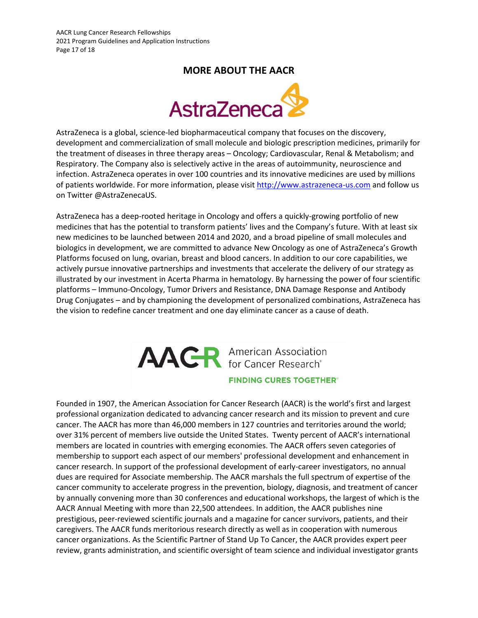## **MORE ABOUT THE AACR**



<span id="page-16-0"></span>AstraZeneca is a global, science-led biopharmaceutical company that focuses on the discovery, development and commercialization of small molecule and biologic prescription medicines, primarily for the treatment of diseases in three therapy areas – Oncology; Cardiovascular, Renal & Metabolism; and Respiratory. The Company also is selectively active in the areas of autoimmunity, neuroscience and infection. AstraZeneca operates in over 100 countries and its innovative medicines are used by millions of patients worldwide. For more information, please visit [http://www.astrazeneca-us.com](http://www.astrazeneca-us.com/) and follow us on Twitter @AstraZenecaUS.

AstraZeneca has a deep-rooted heritage in Oncology and offers a quickly-growing portfolio of new medicines that has the potential to transform patients' lives and the Company's future. With at least six new medicines to be launched between 2014 and 2020, and a broad pipeline of small molecules and biologics in development, we are committed to advance New Oncology as one of AstraZeneca's Growth Platforms focused on lung, ovarian, breast and blood cancers. In addition to our core capabilities, we actively pursue innovative partnerships and investments that accelerate the delivery of our strategy as illustrated by our investment in Acerta Pharma in hematology. By harnessing the power of four scientific platforms – Immuno-Oncology, Tumor Drivers and Resistance, DNA Damage Response and Antibody Drug Conjugates – and by championing the development of personalized combinations, AstraZeneca has the vision to redefine cancer treatment and one day eliminate cancer as a cause of death.

# **AACR** American Association **FINDING CURES TOGETHER®**

Founded in 1907, the American Association for Cancer Research (AACR) is the world's first and largest professional organization dedicated to advancing cancer research and its mission to prevent and cure cancer. The AACR has more than 46,000 members in 127 countries and territories around the world; over 31% percent of members live outside the United States. Twenty percent of AACR's international members are located in countries with emerging economies. The AACR offers seven categories of membership to support each aspect of our members' professional development and enhancement in cancer research. In support of the professional development of early-career investigators, no annual dues are required for Associate membership. The AACR marshals the full spectrum of expertise of the cancer community to accelerate progress in the prevention, biology, diagnosis, and treatment of cancer by annually convening more than 30 conferences and educational workshops, the largest of which is the AACR Annual Meeting with more than 22,500 attendees. In addition, the AACR publishes nine prestigious, peer-reviewed scientific journals and a magazine for cancer survivors, patients, and their caregivers. The AACR funds meritorious research directly as well as in cooperation with numerous cancer organizations. As the Scientific Partner of Stand Up To Cancer, the AACR provides expert peer review, grants administration, and scientific oversight of team science and individual investigator grants